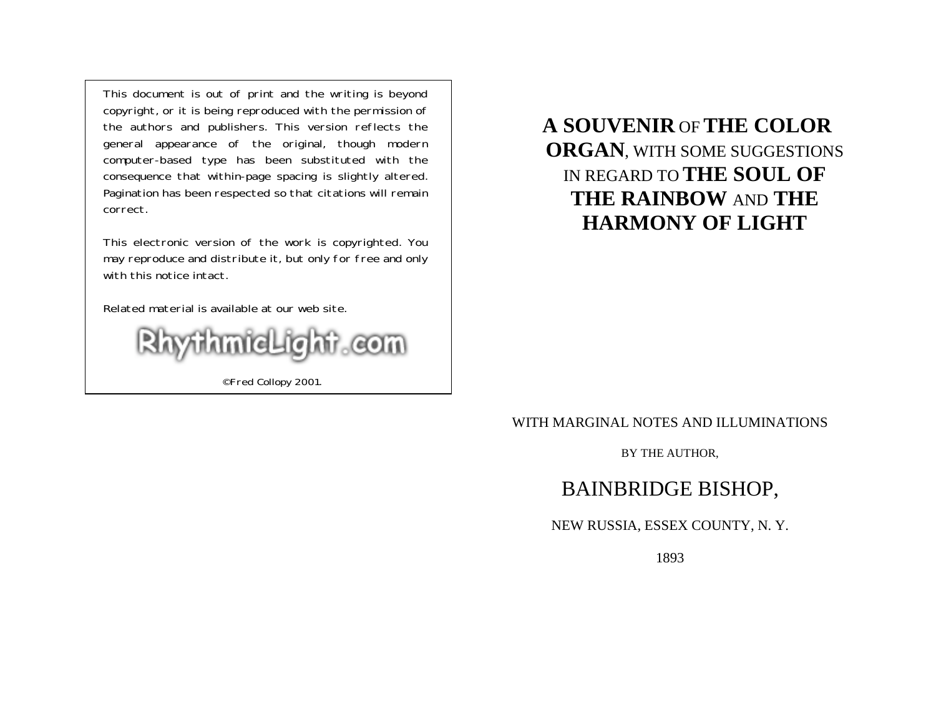This document is out of print and the writing is beyond copyright, or it is being reproduced with the permission of the authors and publishers. This version reflects the general appearance of the original, though modern computer-based type has been substituted with the consequence that within-page spacing is slightly altered. Pagination has been respected so that citations will remain correct.

This electronic version of the work is copyrighted. You may reproduce and distribute it, but only for free and only with this notice intact.

Related material is available at our web site.



©Fred Collopy 2001.

# **A SOUVENIR** OF**THE COLOR ORGAN**, WITH SOME SUGGESTIONS IN REGARD TO **THE SOUL OF THE RAINBOW** AND **THE HARMONY OF LIGHT**

### WITH MARGINAL NOTES AND ILLUMINATIONS

BY THE AUTHOR,

# BAINBRIDGE BISHOP,

### NEW RUSSIA, ESSEX COUNTY, N. Y.

1893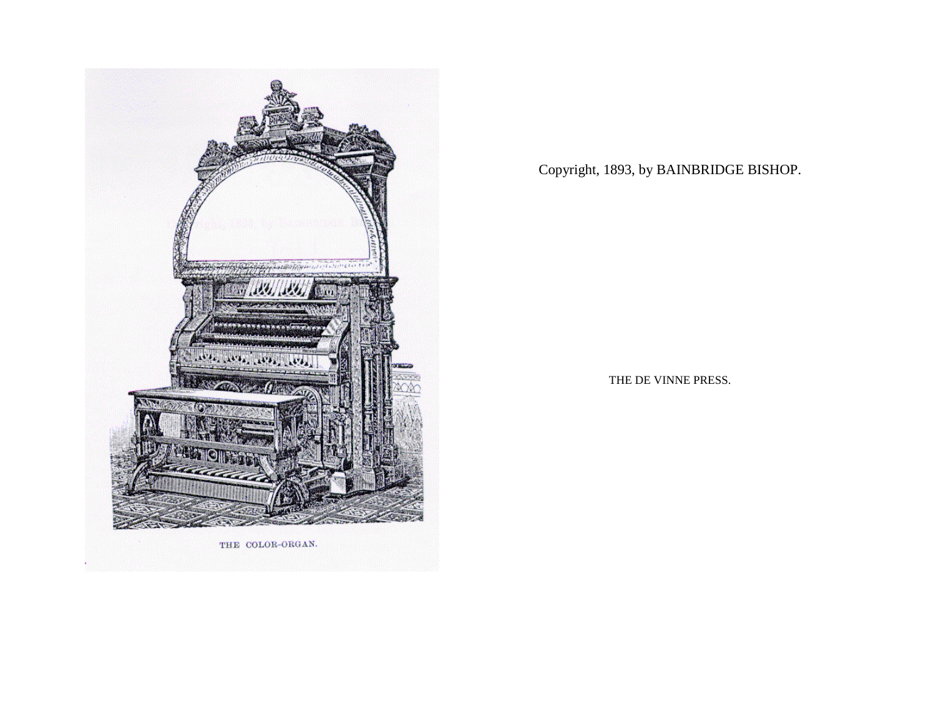

THE COLOR-ORGAN.

Copyright, 1893, by BAINBRIDGE BISHOP.

THE DE VINNE PRESS.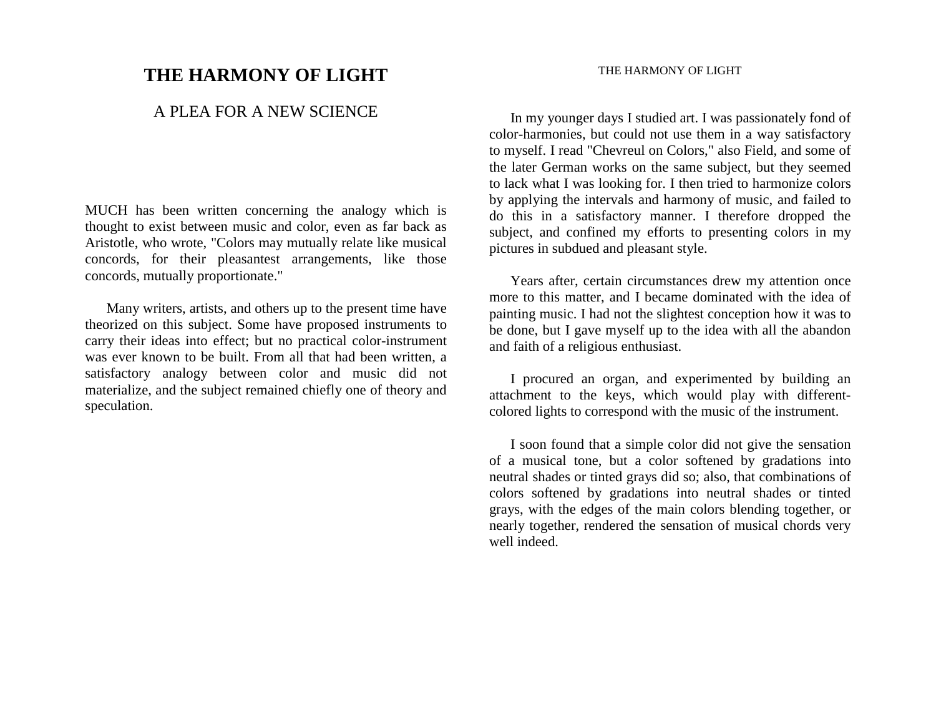## **THE HARMONY OF LIGHT**

### A PLEA FOR A NEW SCIENCE

MUCH has been written concerning the analogy which is thought to exist between music and color, even as far back as Aristotle, who wrote, "Colors may mutually relate like musical concords, for their pleasantest arrangements, like those concords, mutually proportionate."

 Many writers, artists, and others up to the present time have theorized on this subject. Some have proposed instruments to carry their ideas into effect; but no practical color-instrument was ever known to be built. From all that had been written, a satisfactory analogy between color and music did not materialize, and the subject remained chiefly one of theory and speculation.

### THE HARMONY OF LIGHT

 In my younger days I studied art. I was passionately fond of color-harmonies, but could not use them in a way satisfactory to myself. I read "Chevreul on Colors," also Field, and some of the later German works on the same subject, but they seemed to lack what I was looking for. I then tried to harmonize colors by applying the intervals and harmony of music, and failed to do this in a satisfactory manner. I therefore dropped the subject, and confined my efforts to presenting colors in my pictures in subdued and pleasant style.

 Years after, certain circumstances drew my attention once more to this matter, and I became dominated with the idea of painting music. I had not the slightest conception how it was to be done, but I gave myself up to the idea with all the abandon and faith of a religious enthusiast.

 I procured an organ, and experimented by building an attachment to the keys, which would play with differentcolored lights to correspond with the music of the instrument.

 I soon found that a simple color did not give the sensation of a musical tone, but a color softened by gradations into neutral shades or tinted grays did so; also, that combinations of colors softened by gradations into neutral shades or tinted grays, with the edges of the main colors blending together, or nearly together, rendered the sensation of musical chords very well indeed.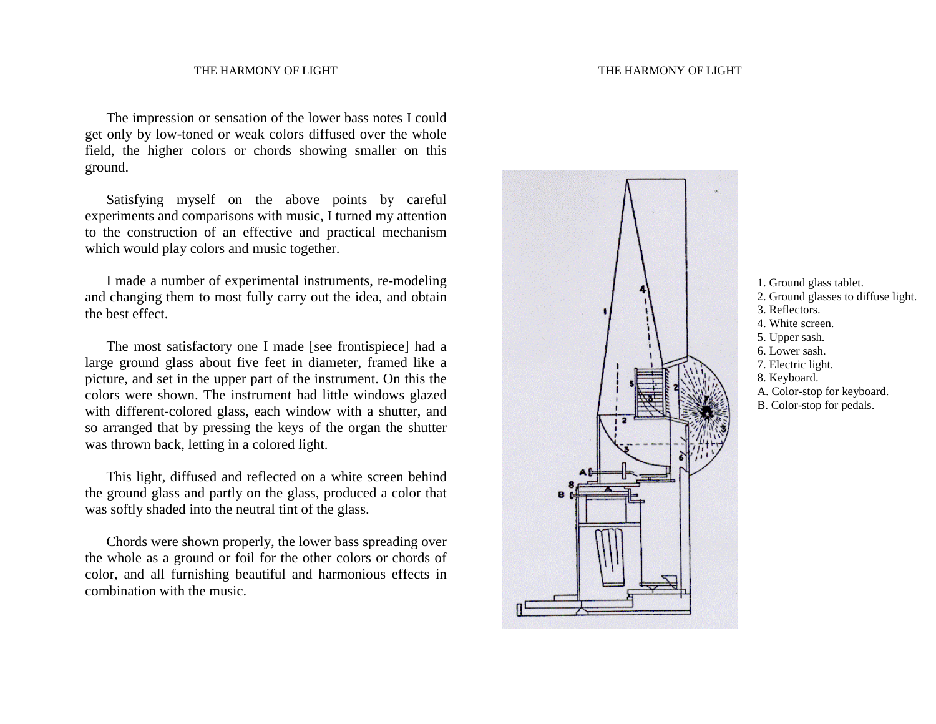The impression or sensation of the lower bass notes I could get only by low-toned or weak colors diffused over the whole field, the higher colors or chords showing smaller on this ground.

 Satisfying myself on the above points by careful experiments and comparisons with music, I turned my attention to the construction of an effective and practical mechanism which would play colors and music together.

 I made a number of experimental instruments, re-modeling and changing them to most fully carry out the idea, and obtain the best effect.

 The most satisfactory one I made [see frontispiece] had a large ground glass about five feet in diameter, framed like a picture, and set in the upper part of the instrument. On this the colors were shown. The instrument had little windows glazed with different-colored glass, each window with a shutter, and so arranged that by pressing the keys of the organ the shutter was thrown back, letting in a colored light.

 This light, diffused and reflected on a white screen behind the ground glass and partly on the glass, produced a color that was softly shaded into the neutral tint of the glass.

 Chords were shown properly, the lower bass spreading over the whole as a ground or foil for the other colors or chords of color, and all furnishing beautiful and harmonious effects in combination with the music.





- 2. Ground glasses to diffuse light.
- 3. Reflectors.
- 4. White screen.
- 5. Upper sash.
- 6. Lower sash.
- 7. Electric light.
- 8. Keyboard.
- A. Color-stop for keyboard.
- B. Color-stop for pedals.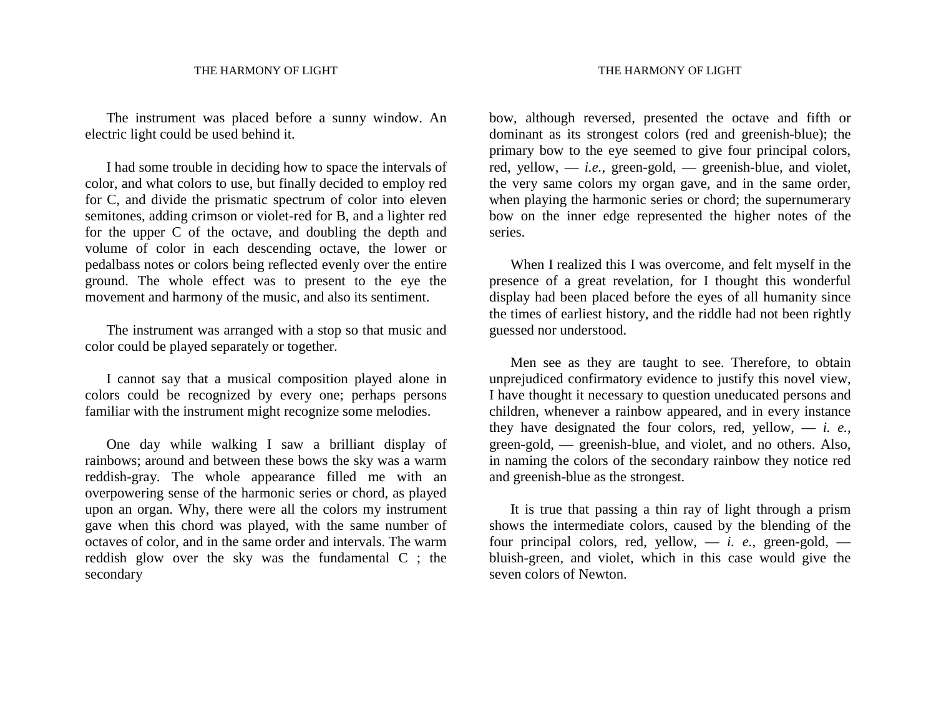The instrument was placed before a sunny window. An electric light could be used behind it.

 I had some trouble in deciding how to space the intervals of color, and what colors to use, but finally decided to employ red for C, and divide the prismatic spectrum of color into eleven semitones, adding crimson or violet-red for B, and a lighter red for the upper C of the octave, and doubling the depth and volume of color in each descending octave, the lower or pedalbass notes or colors being reflected evenly over the entire ground. The whole effect was to present to the eye the movement and harmony of the music, and also its sentiment.

 The instrument was arranged with a stop so that music and color could be played separately or together.

 I cannot say that a musical composition played alone in colors could be recognized by every one; perhaps persons familiar with the instrument might recognize some melodies.

 One day while walking I saw a brilliant display of rainbows; around and between these bows the sky was a warm reddish-gray. The whole appearance filled me with an overpowering sense of the harmonic series or chord, as played upon an organ. Why, there were all the colors my instrument gave when this chord was played, with the same number of octaves of color, and in the same order and intervals. The warm reddish glow over the sky was the fundamental C ; the secondary

bow, although reversed, presented the octave and fifth or dominant as its strongest colors (red and greenish-blue); the primary bow to the eye seemed to give four principal colors, red, yellow, — *i.e.,* green-gold, — greenish-blue, and violet, the very same colors my organ gave, and in the same order, when playing the harmonic series or chord; the supernumerary bow on the inner edge represented the higher notes of the series.

 When I realized this I was overcome, and felt myself in the presence of a great revelation, for I thought this wonderful display had been placed before the eyes of all humanity since the times of earliest history, and the riddle had not been rightly guessed nor understood.

 Men see as they are taught to see. Therefore, to obtain unprejudiced confirmatory evidence to justify this novel view, I have thought it necessary to question uneducated persons and children, whenever a rainbow appeared, and in every instance they have designated the four colors, red, yellow, — *i. e.,*  green-gold, — greenish-blue, and violet, and no others. Also, in naming the colors of the secondary rainbow they notice red and greenish-blue as the strongest.

 It is true that passing a thin ray of light through a prism shows the intermediate colors, caused by the blending of the four principal colors, red, yellow,  $- i$ . e., green-gold,  $$ bluish-green, and violet, which in this case would give the seven colors of Newton.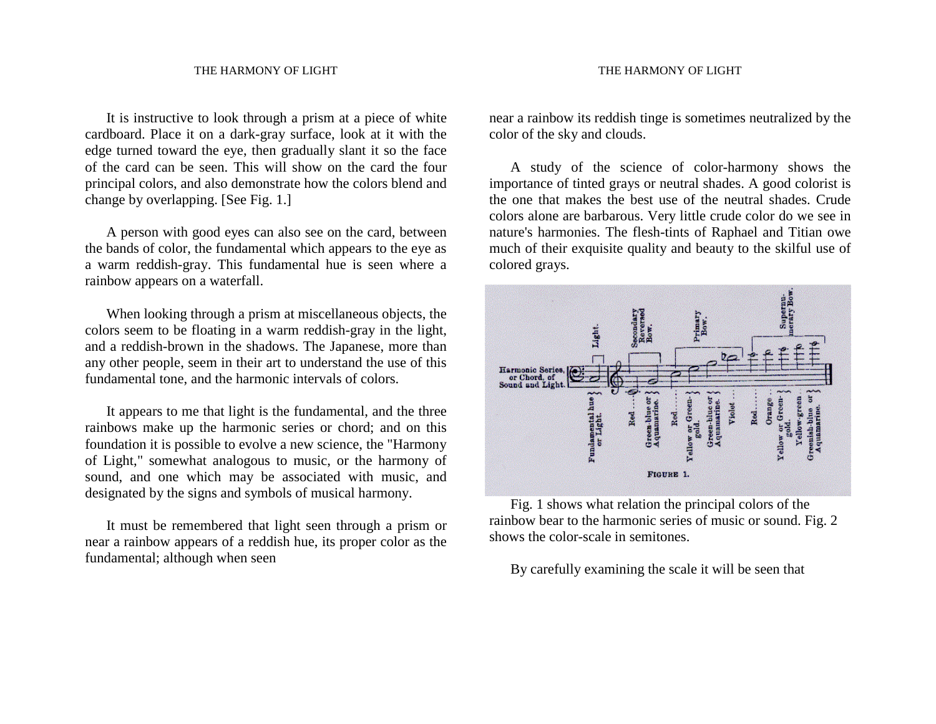It is instructive to look through a prism at a piece of white cardboard. Place it on a dark-gray surface, look at it with the edge turned toward the eye, then gradually slant it so the face of the card can be seen. This will show on the card the four principal colors, and also demonstrate how the colors blend and change by overlapping. [See Fig. 1.]

 A person with good eyes can also see on the card, between the bands of color, the fundamental which appears to the eye as a warm reddish-gray. This fundamental hue is seen where a rainbow appears on a waterfall.

 When looking through a prism at miscellaneous objects, the colors seem to be floating in a warm reddish-gray in the light, and a reddish-brown in the shadows. The Japanese, more than any other people, seem in their art to understand the use of this fundamental tone, and the harmonic intervals of colors.

 It appears to me that light is the fundamental, and the three rainbows make up the harmonic series or chord; and on this foundation it is possible to evolve a new science, the "Harmony of Light," somewhat analogous to music, or the harmony of sound, and one which may be associated with music, and designated by the signs and symbols of musical harmony.

 It must be remembered that light seen through a prism or near a rainbow appears of a reddish hue, its proper color as the fundamental; although when seen

near a rainbow its reddish tinge is sometimes neutralized by the color of the sky and clouds.

 A study of the science of color-harmony shows the importance of tinted grays or neutral shades. A good colorist is the one that makes the best use of the neutral shades. Crude colors alone are barbarous. Very little crude color do we see in nature's harmonies. The flesh-tints of Raphael and Titian owe much of their exquisite quality and beauty to the skilful use of colored grays.



 Fig. 1 shows what relation the principal colors of the rainbow bear to the harmonic series of music or sound. Fig. 2 shows the color-scale in semitones.

By carefully examining the scale it will be seen that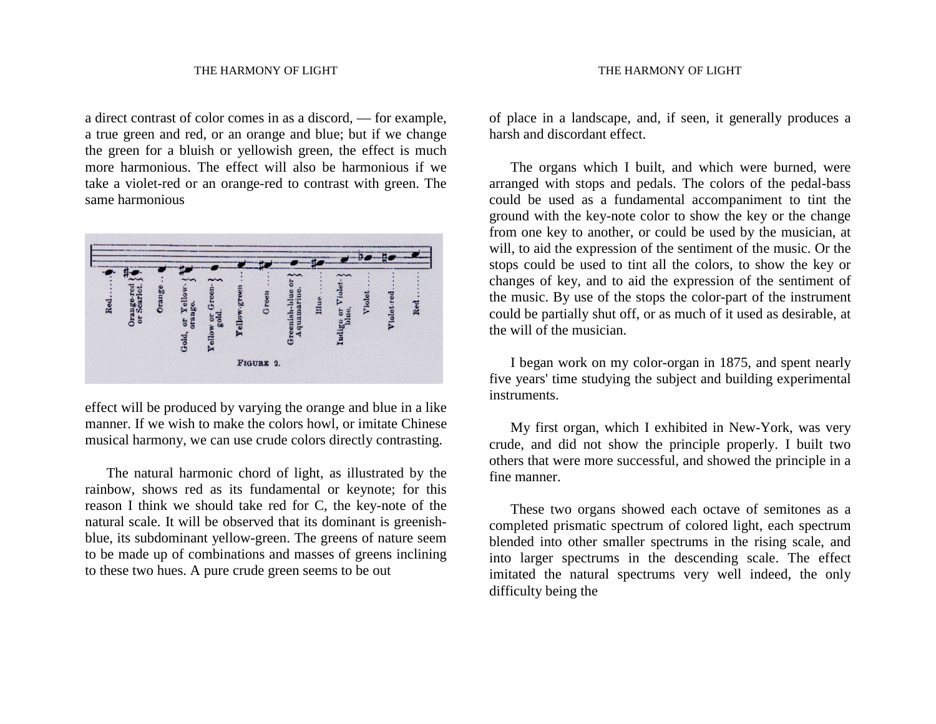a direct contrast of color comes in as a discord, — for example, a true green and red, or an orange and blue; but if we change the green for a bluish or yellowish green, the effect is much more harmonious. The effect will also be harmonious if we take a violet-red or an orange-red to contrast with green. The same harmonious



effect will be produced by varying the orange and blue in a like manner. If we wish to make the colors howl, or imitate Chinese musical harmony, we can use crude colors directly contrasting.

 The natural harmonic chord of light, as illustrated by the rainbow, shows red as its fundamental or keynote; for this reason I think we should take red for C, the key-note of the natural scale. It will be observed that its dominant is greenishblue, its subdominant yellow-green. The greens of nature seem to be made up of combinations and masses of greens inclining to these two hues. A pure crude green seems to be out

of place in a landscape, and, if seen, it generally produces a harsh and discordant effect.

 The organs which I built, and which were burned, were arranged with stops and pedals. The colors of the pedal-bass could be used as a fundamental accompaniment to tint the ground with the key-note color to show the key or the change from one key to another, or could be used by the musician, at will, to aid the expression of the sentiment of the music. Or the stops could be used to tint all the colors, to show the key or changes of key, and to aid the expression of the sentiment of the music. By use of the stops the color-part of the instrument could be partially shut off, or as much of it used as desirable, at the will of the musician.

 I began work on my color-organ in 1875, and spent nearly five years' time studying the subject and building experimental instruments.

 My first organ, which I exhibited in New-York, was very crude, and did not show the principle properly. I built two others that were more successful, and showed the principle in a fine manner.

 These two organs showed each octave of semitones as a completed prismatic spectrum of colored light, each spectrum blended into other smaller spectrums in the rising scale, and into larger spectrums in the descending scale. The effect imitated the natural spectrums very well indeed, the only difficulty being the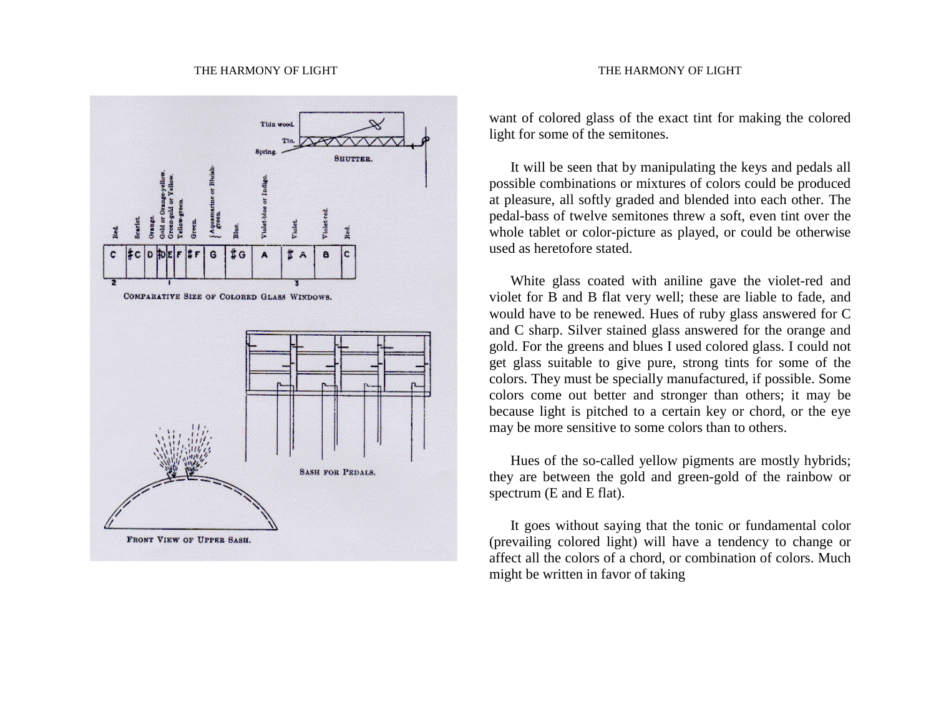#### THE HARMONY OF LIGHT THE HARMONY OF LIGHT



### want of colored glass of the exact tint for making the colored light for some of the semitones.

 It will be seen that by manipulating the keys and pedals all possible combinations or mixtures of colors could be produced at pleasure, all softly graded and blended into each other. The pedal-bass of twelve semitones threw a soft, even tint over the whole tablet or color-picture as played, or could be otherwise used as heretofore stated.

 White glass coated with aniline gave the violet-red and violet for B and B flat very well; these are liable to fade, and would have to be renewed. Hues of ruby glass answered for C and C sharp. Silver stained glass answered for the orange and gold. For the greens and blues I used colored glass. I could not get glass suitable to give pure, strong tints for some of the colors. They must be specially manufactured, if possible. Some colors come out better and stronger than others; it may be because light is pitched to a certain key or chord, or the eye may be more sensitive to some colors than to others.

 Hues of the so-called yellow pigments are mostly hybrids; they are between the gold and green-gold of the rainbow or spectrum (E and E flat).

 It goes without saying that the tonic or fundamental color (prevailing colored light) will have a tendency to change or affect all the colors of a chord, or combination of colors. Much might be written in favor of taking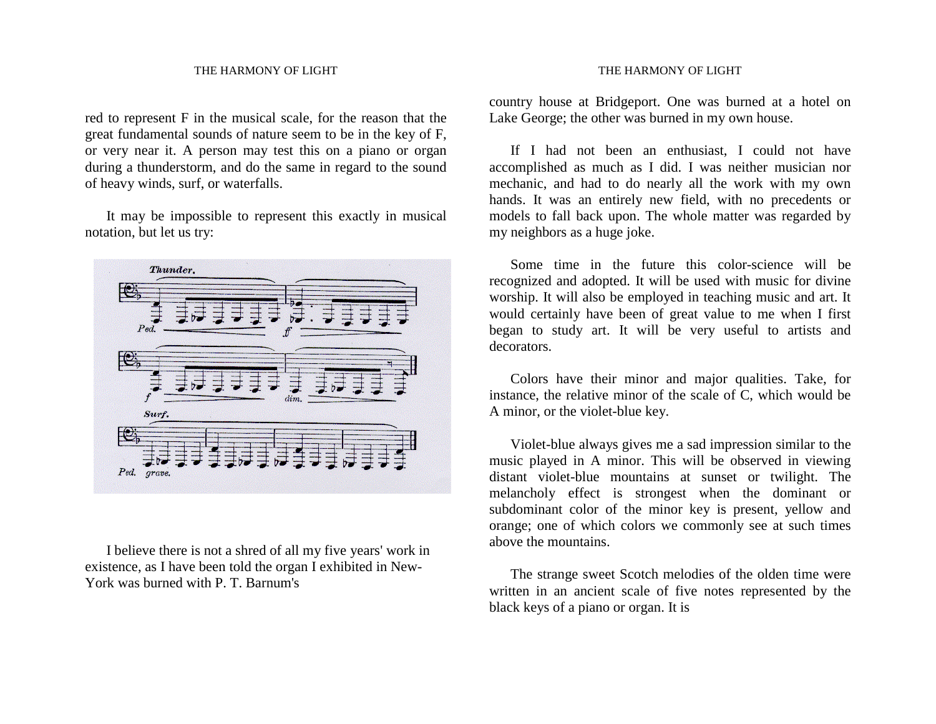red to represent F in the musical scale, for the reason that the great fundamental sounds of nature seem to be in the key of F, or very near it. A person may test this on a piano or organ during a thunderstorm, and do the same in regard to the sound of heavy winds, surf, or waterfalls.

 It may be impossible to represent this exactly in musical notation, but let us try:



 I believe there is not a shred of all my five years' work in existence, as I have been told the organ I exhibited in New-York was burned with P. T. Barnum's

#### THE HARMONY OF LIGHT

country house at Bridgeport. One was burned at a hotel on Lake George; the other was burned in my own house.

 If I had not been an enthusiast, I could not have accomplished as much as I did. I was neither musician nor mechanic, and had to do nearly all the work with my own hands. It was an entirely new field, with no precedents or models to fall back upon. The whole matter was regarded by my neighbors as a huge joke.

 Some time in the future this color-science will be recognized and adopted. It will be used with music for divine worship. It will also be employed in teaching music and art. It would certainly have been of great value to me when I first began to study art. It will be very useful to artists and decorators.

 Colors have their minor and major qualities. Take, for instance, the relative minor of the scale of C, which would be A minor, or the violet-blue key.

 Violet-blue always gives me a sad impression similar to the music played in A minor. This will be observed in viewing distant violet-blue mountains at sunset or twilight. The melancholy effect is strongest when the dominant or subdominant color of the minor key is present, yellow and orange; one of which colors we commonly see at such times above the mountains.

 The strange sweet Scotch melodies of the olden time were written in an ancient scale of five notes represented by the black keys of a piano or organ. It is